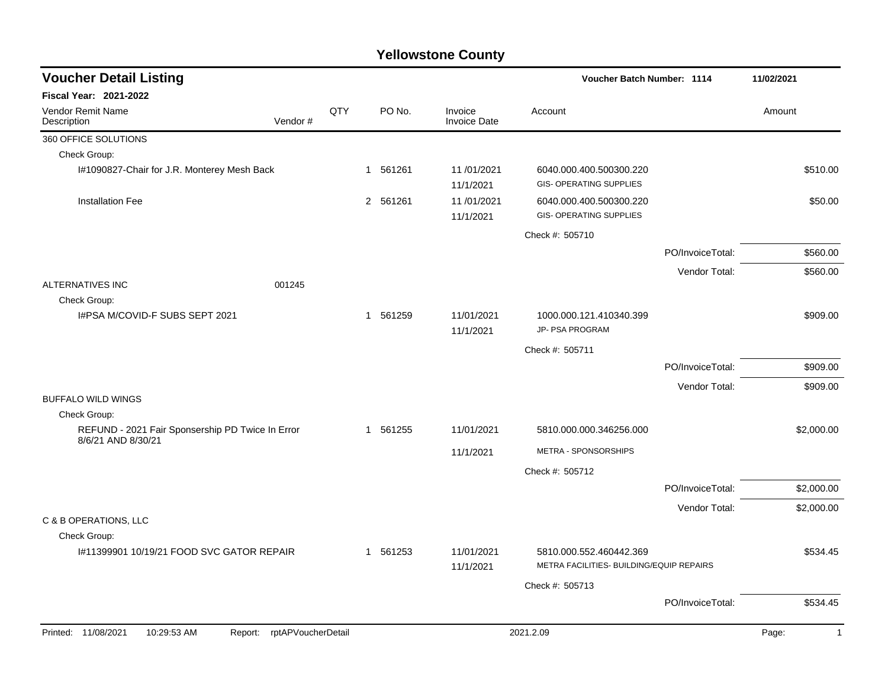| <b>Voucher Detail Listing</b>                                          |     |          |                                | Voucher Batch Number: 1114                                          |                  | 11/02/2021              |
|------------------------------------------------------------------------|-----|----------|--------------------------------|---------------------------------------------------------------------|------------------|-------------------------|
| <b>Fiscal Year: 2021-2022</b>                                          |     |          |                                |                                                                     |                  |                         |
| Vendor Remit Name<br>Vendor#<br>Description                            | QTY | PO No.   | Invoice<br><b>Invoice Date</b> | Account                                                             |                  | Amount                  |
| 360 OFFICE SOLUTIONS                                                   |     |          |                                |                                                                     |                  |                         |
| Check Group:                                                           |     |          |                                |                                                                     |                  |                         |
| I#1090827-Chair for J.R. Monterey Mesh Back                            |     | 1 561261 | 11/01/2021<br>11/1/2021        | 6040.000.400.500300.220<br><b>GIS- OPERATING SUPPLIES</b>           |                  | \$510.00                |
| <b>Installation Fee</b>                                                |     | 2 561261 | 11/01/2021<br>11/1/2021        | 6040.000.400.500300.220<br><b>GIS- OPERATING SUPPLIES</b>           |                  | \$50.00                 |
|                                                                        |     |          |                                | Check #: 505710                                                     |                  |                         |
|                                                                        |     |          |                                |                                                                     | PO/InvoiceTotal: | \$560.00                |
|                                                                        |     |          |                                |                                                                     | Vendor Total:    | \$560.00                |
| <b>ALTERNATIVES INC</b><br>001245<br>Check Group:                      |     |          |                                |                                                                     |                  |                         |
| I#PSA M/COVID-F SUBS SEPT 2021                                         |     | 1 561259 | 11/01/2021<br>11/1/2021        | 1000.000.121.410340.399<br>JP- PSA PROGRAM                          |                  | \$909.00                |
|                                                                        |     |          |                                | Check #: 505711                                                     |                  |                         |
|                                                                        |     |          |                                |                                                                     | PO/InvoiceTotal: | \$909.00                |
|                                                                        |     |          |                                |                                                                     | Vendor Total:    | \$909.00                |
| <b>BUFFALO WILD WINGS</b>                                              |     |          |                                |                                                                     |                  |                         |
| Check Group:                                                           |     |          |                                |                                                                     |                  |                         |
| REFUND - 2021 Fair Sponsership PD Twice In Error<br>8/6/21 AND 8/30/21 |     | 1 561255 | 11/01/2021                     | 5810.000.000.346256.000                                             |                  | \$2,000.00              |
|                                                                        |     |          | 11/1/2021                      | METRA - SPONSORSHIPS                                                |                  |                         |
|                                                                        |     |          |                                | Check #: 505712                                                     |                  |                         |
|                                                                        |     |          |                                |                                                                     | PO/InvoiceTotal: | \$2,000.00              |
|                                                                        |     |          |                                |                                                                     | Vendor Total:    | \$2,000.00              |
| C & B OPERATIONS, LLC                                                  |     |          |                                |                                                                     |                  |                         |
| Check Group:                                                           |     |          |                                |                                                                     |                  |                         |
| #11399901 10/19/21 FOOD SVC GATOR REPAIR                               |     | 1 561253 | 11/01/2021<br>11/1/2021        | 5810.000.552.460442.369<br>METRA FACILITIES- BUILDING/EQUIP REPAIRS |                  | \$534.45                |
|                                                                        |     |          |                                | Check #: 505713                                                     |                  |                         |
|                                                                        |     |          |                                |                                                                     | PO/InvoiceTotal: | \$534.45                |
| rptAPVoucherDetail<br>Printed: 11/08/2021<br>10:29:53 AM<br>Report:    |     |          |                                | 2021.2.09                                                           |                  | Page:<br>$\overline{1}$ |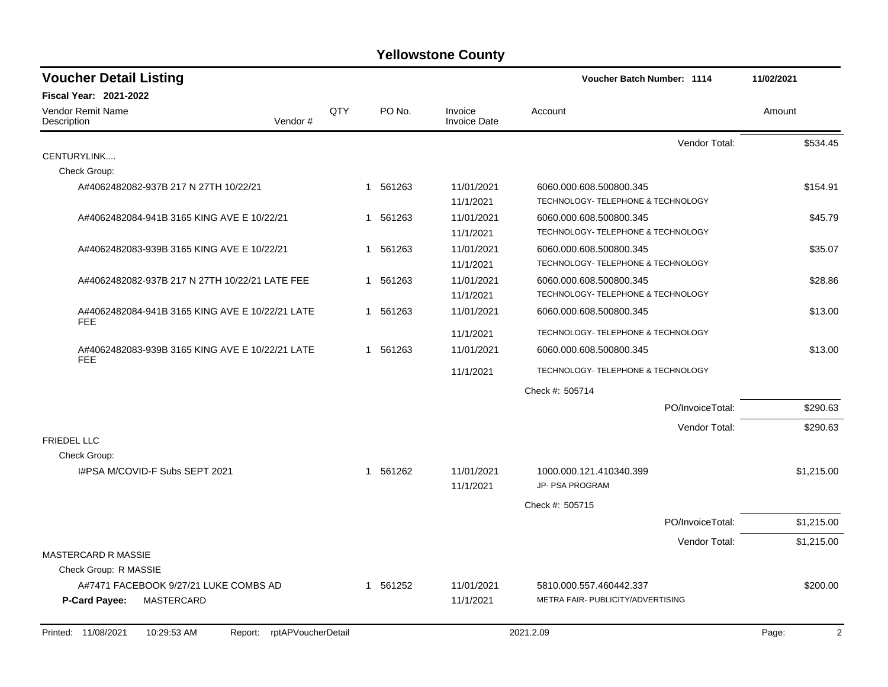| <b>Voucher Detail Listing</b>                                       |              |             |                                | Voucher Batch Number: 1114                                    |                  | 11/02/2021 |
|---------------------------------------------------------------------|--------------|-------------|--------------------------------|---------------------------------------------------------------|------------------|------------|
| Fiscal Year: 2021-2022                                              |              |             |                                |                                                               |                  |            |
| <b>Vendor Remit Name</b><br>Vendor#<br>Description                  | QTY          | PO No.      | Invoice<br><b>Invoice Date</b> | Account                                                       |                  | Amount     |
|                                                                     |              |             |                                |                                                               | Vendor Total:    | \$534.45   |
| CENTURYLINK                                                         |              |             |                                |                                                               |                  |            |
| Check Group:                                                        |              |             |                                |                                                               |                  |            |
| A#4062482082-937B 217 N 27TH 10/22/21                               |              | 1 561263    | 11/01/2021<br>11/1/2021        | 6060.000.608.500800.345<br>TECHNOLOGY- TELEPHONE & TECHNOLOGY |                  | \$154.91   |
| A#4062482084-941B 3165 KING AVE E 10/22/21                          | $\mathbf{1}$ | 561263      | 11/01/2021                     | 6060.000.608.500800.345                                       |                  | \$45.79    |
|                                                                     |              |             | 11/1/2021                      | TECHNOLOGY- TELEPHONE & TECHNOLOGY                            |                  |            |
| A#4062482083-939B 3165 KING AVE E 10/22/21                          | 1            | 561263      | 11/01/2021                     | 6060.000.608.500800.345                                       |                  | \$35.07    |
|                                                                     |              |             | 11/1/2021                      | TECHNOLOGY- TELEPHONE & TECHNOLOGY                            |                  |            |
| A#4062482082-937B 217 N 27TH 10/22/21 LATE FEE                      | 1            | 561263      | 11/01/2021                     | 6060.000.608.500800.345                                       |                  | \$28.86    |
|                                                                     |              |             | 11/1/2021                      | TECHNOLOGY- TELEPHONE & TECHNOLOGY                            |                  |            |
| A#4062482084-941B 3165 KING AVE E 10/22/21 LATE<br><b>FEE</b>       | 1            | 561263      | 11/01/2021                     | 6060.000.608.500800.345                                       |                  | \$13.00    |
|                                                                     |              |             | 11/1/2021                      | TECHNOLOGY- TELEPHONE & TECHNOLOGY                            |                  |            |
| A#4062482083-939B 3165 KING AVE E 10/22/21 LATE                     |              | 561263<br>1 | 11/01/2021                     | 6060.000.608.500800.345                                       |                  | \$13.00    |
| <b>FEE</b>                                                          |              |             | 11/1/2021                      | TECHNOLOGY- TELEPHONE & TECHNOLOGY                            |                  |            |
|                                                                     |              |             |                                | Check #: 505714                                               |                  |            |
|                                                                     |              |             |                                |                                                               | PO/InvoiceTotal: | \$290.63   |
|                                                                     |              |             |                                |                                                               | Vendor Total:    | \$290.63   |
| <b>FRIEDEL LLC</b>                                                  |              |             |                                |                                                               |                  |            |
| Check Group:<br>I#PSA M/COVID-F Subs SEPT 2021                      |              | 1 561262    | 11/01/2021<br>11/1/2021        | 1000.000.121.410340.399<br>JP- PSA PROGRAM                    |                  | \$1,215.00 |
|                                                                     |              |             |                                |                                                               |                  |            |
|                                                                     |              |             |                                | Check #: 505715                                               |                  |            |
|                                                                     |              |             |                                |                                                               | PO/InvoiceTotal: | \$1,215.00 |
| <b>MASTERCARD R MASSIE</b>                                          |              |             |                                |                                                               | Vendor Total:    | \$1,215.00 |
| Check Group: R MASSIE                                               |              |             |                                |                                                               |                  |            |
| A#7471 FACEBOOK 9/27/21 LUKE COMBS AD                               | 1            | 561252      | 11/01/2021                     | 5810.000.557.460442.337                                       |                  | \$200.00   |
| P-Card Payee:<br>MASTERCARD                                         |              |             | 11/1/2021                      | METRA FAIR- PUBLICITY/ADVERTISING                             |                  |            |
| Printed: 11/08/2021<br>10:29:53 AM<br>Report:<br>rptAPVoucherDetail |              |             |                                | 2021.2.09                                                     |                  | 2<br>Page: |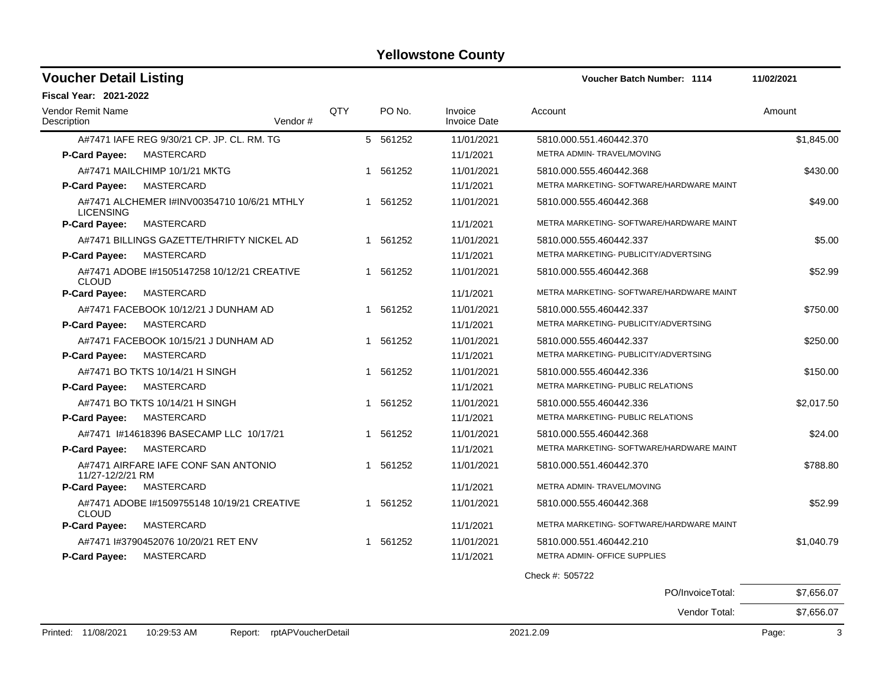| <b>Voucher Detail Listing</b>           |                                             |         |     |          |                                | <b>Voucher Batch Number: 1114</b>        | 11/02/2021 |
|-----------------------------------------|---------------------------------------------|---------|-----|----------|--------------------------------|------------------------------------------|------------|
| Fiscal Year: 2021-2022                  |                                             |         |     |          |                                |                                          |            |
| <b>Vendor Remit Name</b><br>Description |                                             | Vendor# | QTY | PO No.   | Invoice<br><b>Invoice Date</b> | Account                                  | Amount     |
|                                         | A#7471 IAFE REG 9/30/21 CP. JP. CL. RM. TG  |         |     | 5 561252 | 11/01/2021                     | 5810.000.551.460442.370                  | \$1.845.00 |
| P-Card Payee:                           | MASTERCARD                                  |         |     |          | 11/1/2021                      | METRA ADMIN- TRAVEL/MOVING               |            |
|                                         | A#7471 MAILCHIMP 10/1/21 MKTG               |         |     | 1 561252 | 11/01/2021                     | 5810.000.555.460442.368                  | \$430.00   |
| P-Card Payee:                           | MASTERCARD                                  |         |     |          | 11/1/2021                      | METRA MARKETING- SOFTWARE/HARDWARE MAINT |            |
| <b>LICENSING</b>                        | A#7471 ALCHEMER I#INV00354710 10/6/21 MTHLY |         |     | 1 561252 | 11/01/2021                     | 5810.000.555.460442.368                  | \$49.00    |
| P-Card Payee:                           | MASTERCARD                                  |         |     |          | 11/1/2021                      | METRA MARKETING- SOFTWARE/HARDWARE MAINT |            |
|                                         | A#7471 BILLINGS GAZETTE/THRIFTY NICKEL AD   |         |     | 1 561252 | 11/01/2021                     | 5810.000.555.460442.337                  | \$5.00     |
| P-Card Payee:                           | MASTERCARD                                  |         |     |          | 11/1/2021                      | METRA MARKETING- PUBLICITY/ADVERTSING    |            |
| <b>CLOUD</b>                            | A#7471 ADOBE 1#1505147258 10/12/21 CREATIVE |         |     | 1 561252 | 11/01/2021                     | 5810.000.555.460442.368                  | \$52.99    |
| P-Card Payee:                           | MASTERCARD                                  |         |     |          | 11/1/2021                      | METRA MARKETING- SOFTWARE/HARDWARE MAINT |            |
|                                         | A#7471 FACEBOOK 10/12/21 J DUNHAM AD        |         |     | 1 561252 | 11/01/2021                     | 5810.000.555.460442.337                  | \$750.00   |
| P-Card Payee:                           | MASTERCARD                                  |         |     |          | 11/1/2021                      | METRA MARKETING- PUBLICITY/ADVERTSING    |            |
|                                         | A#7471 FACEBOOK 10/15/21 J DUNHAM AD        |         |     | 1 561252 | 11/01/2021                     | 5810.000.555.460442.337                  | \$250.00   |
| P-Card Payee:                           | MASTERCARD                                  |         |     |          | 11/1/2021                      | METRA MARKETING- PUBLICITY/ADVERTSING    |            |
|                                         | A#7471 BO TKTS 10/14/21 H SINGH             |         |     | 1 561252 | 11/01/2021                     | 5810.000.555.460442.336                  | \$150.00   |
| <b>P-Card Payee:</b>                    | MASTERCARD                                  |         |     |          | 11/1/2021                      | METRA MARKETING- PUBLIC RELATIONS        |            |
|                                         | A#7471 BO TKTS 10/14/21 H SINGH             |         |     | 1 561252 | 11/01/2021                     | 5810.000.555.460442.336                  | \$2,017.50 |
| <b>P-Card Payee:</b>                    | MASTERCARD                                  |         |     |          | 11/1/2021                      | METRA MARKETING- PUBLIC RELATIONS        |            |
|                                         | A#7471 I#14618396 BASECAMP LLC 10/17/21     |         |     | 1 561252 | 11/01/2021                     | 5810.000.555.460442.368                  | \$24.00    |
| P-Card Payee:                           | MASTERCARD                                  |         |     |          | 11/1/2021                      | METRA MARKETING- SOFTWARE/HARDWARE MAINT |            |
| 11/27-12/2/21 RM                        | A#7471 AIRFARE IAFE CONF SAN ANTONIO        |         |     | 1 561252 | 11/01/2021                     | 5810.000.551.460442.370                  | \$788.80   |
| P-Card Payee:                           | MASTERCARD                                  |         |     |          | 11/1/2021                      | METRA ADMIN- TRAVEL/MOVING               |            |
| <b>CLOUD</b>                            | A#7471 ADOBE 1#1509755148 10/19/21 CREATIVE |         |     | 1 561252 | 11/01/2021                     | 5810.000.555.460442.368                  | \$52.99    |
| <b>P-Card Payee:</b>                    | MASTERCARD                                  |         |     |          | 11/1/2021                      | METRA MARKETING- SOFTWARE/HARDWARE MAINT |            |
|                                         | A#7471 #3790452076 10/20/21 RET ENV         |         |     | 1 561252 | 11/01/2021                     | 5810.000.551.460442.210                  | \$1,040.79 |
| P-Card Payee:                           | MASTERCARD                                  |         |     |          | 11/1/2021                      | METRA ADMIN- OFFICE SUPPLIES             |            |
|                                         |                                             |         |     |          |                                | Check #: 505722                          |            |

PO/InvoiceTotal: \$7,656.07 Vendor Total: \$7,656.07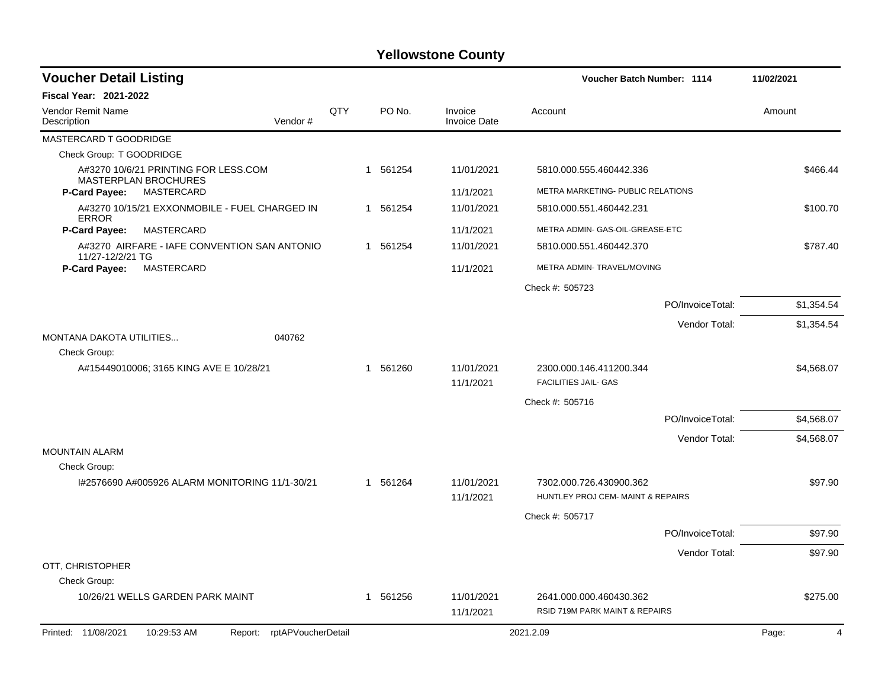| <b>Voucher Detail Listing</b>                                    |     |          |                                | Voucher Batch Number: 1114                                   |                  | 11/02/2021 |
|------------------------------------------------------------------|-----|----------|--------------------------------|--------------------------------------------------------------|------------------|------------|
| <b>Fiscal Year: 2021-2022</b>                                    |     |          |                                |                                                              |                  |            |
| <b>Vendor Remit Name</b><br>Description<br>Vendor#               | QTY | PO No.   | Invoice<br><b>Invoice Date</b> | Account                                                      |                  | Amount     |
| MASTERCARD T GOODRIDGE                                           |     |          |                                |                                                              |                  |            |
| Check Group: T GOODRIDGE                                         |     |          |                                |                                                              |                  |            |
| A#3270 10/6/21 PRINTING FOR LESS.COM<br>MASTERPLAN BROCHURES     |     | 1 561254 | 11/01/2021                     | 5810.000.555.460442.336                                      |                  | \$466.44   |
| MASTERCARD<br><b>P-Card Payee:</b>                               |     |          | 11/1/2021                      | METRA MARKETING- PUBLIC RELATIONS                            |                  |            |
| A#3270 10/15/21 EXXONMOBILE - FUEL CHARGED IN<br><b>ERROR</b>    |     | 1 561254 | 11/01/2021                     | 5810.000.551.460442.231                                      |                  | \$100.70   |
| <b>P-Card Payee:</b><br>MASTERCARD                               |     |          | 11/1/2021                      | METRA ADMIN- GAS-OIL-GREASE-ETC                              |                  |            |
| A#3270 AIRFARE - IAFE CONVENTION SAN ANTONIO<br>11/27-12/2/21 TG |     | 1 561254 | 11/01/2021                     | 5810.000.551.460442.370                                      |                  | \$787.40   |
| <b>MASTERCARD</b><br>P-Card Payee:                               |     |          | 11/1/2021                      | METRA ADMIN- TRAVEL/MOVING                                   |                  |            |
|                                                                  |     |          |                                | Check #: 505723                                              |                  |            |
|                                                                  |     |          |                                |                                                              | PO/InvoiceTotal: | \$1,354.54 |
|                                                                  |     |          |                                |                                                              | Vendor Total:    | \$1,354.54 |
| 040762<br>MONTANA DAKOTA UTILITIES                               |     |          |                                |                                                              |                  |            |
| Check Group:                                                     |     |          |                                |                                                              |                  |            |
| A#15449010006; 3165 KING AVE E 10/28/21                          |     | 1 561260 | 11/01/2021<br>11/1/2021        | 2300.000.146.411200.344<br><b>FACILITIES JAIL- GAS</b>       |                  | \$4,568.07 |
|                                                                  |     |          |                                | Check #: 505716                                              |                  |            |
|                                                                  |     |          |                                |                                                              | PO/InvoiceTotal: | \$4,568.07 |
|                                                                  |     |          |                                |                                                              | Vendor Total:    | \$4,568.07 |
| MOUNTAIN ALARM                                                   |     |          |                                |                                                              |                  |            |
| Check Group:                                                     |     |          |                                |                                                              |                  |            |
| I#2576690 A#005926 ALARM MONITORING 11/1-30/21                   |     | 1 561264 | 11/01/2021<br>11/1/2021        | 7302.000.726.430900.362<br>HUNTLEY PROJ CEM- MAINT & REPAIRS |                  | \$97.90    |
|                                                                  |     |          |                                | Check #: 505717                                              |                  |            |
|                                                                  |     |          |                                |                                                              | PO/InvoiceTotal: | \$97.90    |
|                                                                  |     |          |                                |                                                              | Vendor Total:    | \$97.90    |
| OTT, CHRISTOPHER                                                 |     |          |                                |                                                              |                  |            |
| Check Group:                                                     |     |          |                                |                                                              |                  |            |
| 10/26/21 WELLS GARDEN PARK MAINT                                 |     | 1 561256 | 11/01/2021<br>11/1/2021        | 2641.000.000.460430.362<br>RSID 719M PARK MAINT & REPAIRS    |                  | \$275.00   |
| Printed: 11/08/2021<br>10:29:53 AM<br>Report: rptAPVoucherDetail |     |          |                                | 2021.2.09                                                    |                  | Page:<br>4 |